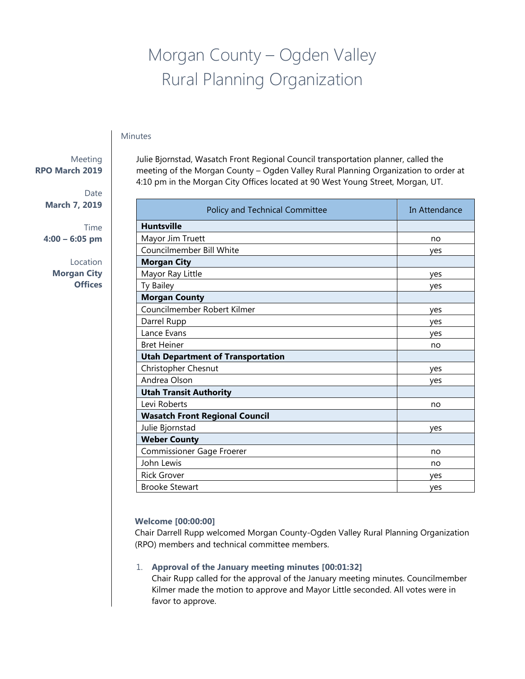# Morgan County – Ogden Valley Rural Planning Organization

## **Minutes**

# Meeting **RPO March 2019**

Date **March 7, 2019**

Time **4:00 – 6:05 pm**

> Location **Morgan City Offices**

Julie Bjornstad, Wasatch Front Regional Council transportation planner, called the meeting of the Morgan County – Ogden Valley Rural Planning Organization to order at 4:10 pm in the Morgan City Offices located at 90 West Young Street, Morgan, UT.

| Policy and Technical Committee           | In Attendance |
|------------------------------------------|---------------|
| <b>Huntsville</b>                        |               |
| Mayor Jim Truett                         | no            |
| Councilmember Bill White                 | ves           |
| <b>Morgan City</b>                       |               |
| Mayor Ray Little                         | yes           |
| Ty Bailey                                | ves           |
| <b>Morgan County</b>                     |               |
| Councilmember Robert Kilmer              | yes           |
| Darrel Rupp                              | yes           |
| Lance Evans                              | yes           |
| <b>Bret Heiner</b>                       | no            |
| <b>Utah Department of Transportation</b> |               |
| Christopher Chesnut                      | yes           |
| Andrea Olson                             | ves           |
| <b>Utah Transit Authority</b>            |               |
| Levi Roberts                             | no            |
| <b>Wasatch Front Regional Council</b>    |               |
| Julie Bjornstad                          | ves           |
| <b>Weber County</b>                      |               |
| <b>Commissioner Gage Froerer</b>         | no            |
| John Lewis                               | no            |
| <b>Rick Grover</b>                       | ves           |
| <b>Brooke Stewart</b>                    | yes           |

## **Welcome [00:00:00]**

Chair Darrell Rupp welcomed Morgan County-Ogden Valley Rural Planning Organization (RPO) members and technical committee members.

## 1. **Approval of the January meeting minutes [00:01:32]**

Chair Rupp called for the approval of the January meeting minutes. Councilmember Kilmer made the motion to approve and Mayor Little seconded. All votes were in favor to approve.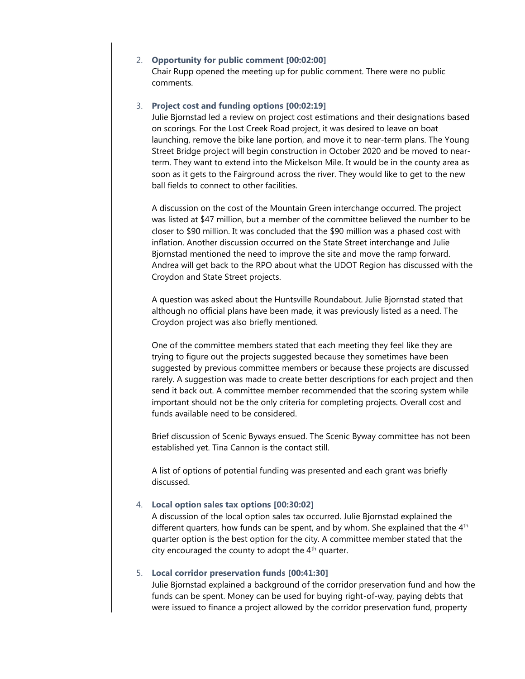#### 2. **Opportunity for public comment [00:02:00]**

Chair Rupp opened the meeting up for public comment. There were no public comments.

#### 3. **Project cost and funding options [00:02:19]**

Julie Bjornstad led a review on project cost estimations and their designations based on scorings. For the Lost Creek Road project, it was desired to leave on boat launching, remove the bike lane portion, and move it to near-term plans. The Young Street Bridge project will begin construction in October 2020 and be moved to nearterm. They want to extend into the Mickelson Mile. It would be in the county area as soon as it gets to the Fairground across the river. They would like to get to the new ball fields to connect to other facilities.

A discussion on the cost of the Mountain Green interchange occurred. The project was listed at \$47 million, but a member of the committee believed the number to be closer to \$90 million. It was concluded that the \$90 million was a phased cost with inflation. Another discussion occurred on the State Street interchange and Julie Bjornstad mentioned the need to improve the site and move the ramp forward. Andrea will get back to the RPO about what the UDOT Region has discussed with the Croydon and State Street projects.

A question was asked about the Huntsville Roundabout. Julie Bjornstad stated that although no official plans have been made, it was previously listed as a need. The Croydon project was also briefly mentioned.

One of the committee members stated that each meeting they feel like they are trying to figure out the projects suggested because they sometimes have been suggested by previous committee members or because these projects are discussed rarely. A suggestion was made to create better descriptions for each project and then send it back out. A committee member recommended that the scoring system while important should not be the only criteria for completing projects. Overall cost and funds available need to be considered.

Brief discussion of Scenic Byways ensued. The Scenic Byway committee has not been established yet. Tina Cannon is the contact still.

A list of options of potential funding was presented and each grant was briefly discussed.

#### 4. **Local option sales tax options [00:30:02]**

A discussion of the local option sales tax occurred. Julie Bjornstad explained the different quarters, how funds can be spent, and by whom. She explained that the  $4<sup>th</sup>$ quarter option is the best option for the city. A committee member stated that the city encouraged the county to adopt the  $4<sup>th</sup>$  quarter.

#### 5. **Local corridor preservation funds [00:41:30]**

Julie Bjornstad explained a background of the corridor preservation fund and how the funds can be spent. Money can be used for buying right-of-way, paying debts that were issued to finance a project allowed by the corridor preservation fund, property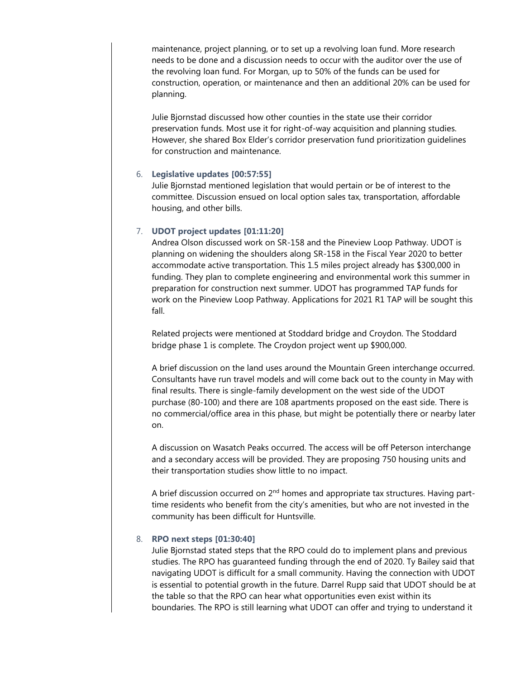maintenance, project planning, or to set up a revolving loan fund. More research needs to be done and a discussion needs to occur with the auditor over the use of the revolving loan fund. For Morgan, up to 50% of the funds can be used for construction, operation, or maintenance and then an additional 20% can be used for planning.

Julie Bjornstad discussed how other counties in the state use their corridor preservation funds. Most use it for right-of-way acquisition and planning studies. However, she shared Box Elder's corridor preservation fund prioritization guidelines for construction and maintenance.

### 6. **Legislative updates [00:57:55]**

Julie Bjornstad mentioned legislation that would pertain or be of interest to the committee. Discussion ensued on local option sales tax, transportation, affordable housing, and other bills.

## 7. **UDOT project updates [01:11:20]**

Andrea Olson discussed work on SR-158 and the Pineview Loop Pathway. UDOT is planning on widening the shoulders along SR-158 in the Fiscal Year 2020 to better accommodate active transportation. This 1.5 miles project already has \$300,000 in funding. They plan to complete engineering and environmental work this summer in preparation for construction next summer. UDOT has programmed TAP funds for work on the Pineview Loop Pathway. Applications for 2021 R1 TAP will be sought this fall.

Related projects were mentioned at Stoddard bridge and Croydon. The Stoddard bridge phase 1 is complete. The Croydon project went up \$900,000.

A brief discussion on the land uses around the Mountain Green interchange occurred. Consultants have run travel models and will come back out to the county in May with final results. There is single-family development on the west side of the UDOT purchase (80-100) and there are 108 apartments proposed on the east side. There is no commercial/office area in this phase, but might be potentially there or nearby later on.

A discussion on Wasatch Peaks occurred. The access will be off Peterson interchange and a secondary access will be provided. They are proposing 750 housing units and their transportation studies show little to no impact.

A brief discussion occurred on  $2<sup>nd</sup>$  homes and appropriate tax structures. Having parttime residents who benefit from the city's amenities, but who are not invested in the community has been difficult for Huntsville.

## 8. **RPO next steps [01:30:40]**

Julie Bjornstad stated steps that the RPO could do to implement plans and previous studies. The RPO has guaranteed funding through the end of 2020. Ty Bailey said that navigating UDOT is difficult for a small community. Having the connection with UDOT is essential to potential growth in the future. Darrel Rupp said that UDOT should be at the table so that the RPO can hear what opportunities even exist within its boundaries. The RPO is still learning what UDOT can offer and trying to understand it